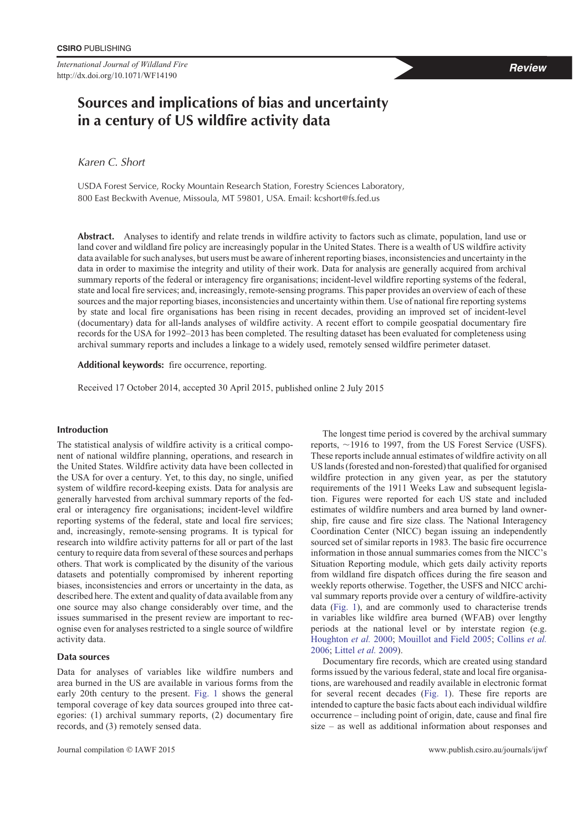*International Journal of Wildland Fire* http://dx.doi.org/10.1071/WF14190

# Sources and implications of bias and uncertainty in a century of US wildfire activity data

Karen C. Short

USDA Forest Service, Rocky Mountain Research Station, Forestry Sciences Laboratory, 800 East Beckwith Avenue, Missoula, MT 59801, USA. Email: kcshort@fs.fed.us

Abstract. Analyses to identify and relate trends in wildfire activity to factors such as climate, population, land use or land cover and wildland fire policy are increasingly popular in the United States. There is a wealth of US wildfire activity data available for such analyses, but users must be aware of inherent reporting biases, inconsistencies and uncertainty in the data in order to maximise the integrity and utility of their work. Data for analysis are generally acquired from archival summary reports of the federal or interagency fire organisations; incident-level wildfire reporting systems of the federal, state and local fire services; and, increasingly, remote-sensing programs. This paper provides an overview of each of these sources and the major reporting biases, inconsistencies and uncertainty within them. Use of national fire reporting systems by state and local fire organisations has been rising in recent decades, providing an improved set of incident-level (documentary) data for all-lands analyses of wildfire activity. A recent effort to compile geospatial documentary fire records for the USA for 1992–2013 has been completed. The resulting dataset has been evaluated for completeness using archival summary reports and includes a linkage to a widely used, remotely sensed wildfire perimeter dataset.

Additional keywords: fire occurrence, reporting.

Received 17 October 2014, accepted 30 April 2015, published online 2 July 2015

# Introduction

The statistical analysis of wildfire activity is a critical component of national wildfire planning, operations, and research in the United States. Wildfire activity data have been collected in the USA for over a century. Yet, to this day, no single, unified system of wildfire record-keeping exists. Data for analysis are generally harvested from archival summary reports of the federal or interagency fire organisations; incident-level wildfire reporting systems of the federal, state and local fire services; and, increasingly, remote-sensing programs. It is typical for research into wildfire activity patterns for all or part of the last century to require data from several of these sources and perhaps others. That work is complicated by the disunity of the various datasets and potentially compromised by inherent reporting biases, inconsistencies and errors or uncertainty in the data, as described here. The extent and quality of data available from any one source may also change considerably over time, and the issues summarised in the present review are important to recognise even for analyses restricted to a single source of wildfire activity data.

## Data sources

Data for analyses of variables like wildfire numbers and area burned in the US are available in various forms from the early 20th century to the present. [Fig. 1](#page-1-0) shows the general temporal coverage of key data sources grouped into three categories: (1) archival summary reports, (2) documentary fire records, and (3) remotely sensed data.

The longest time period is covered by the archival summary reports,  $\sim$ 1916 to 1997, from the US Forest Service (USFS). These reports include annual estimates of wildfire activity on all US lands (forested and non-forested) that qualified for organised wildfire protection in any given year, as per the statutory requirements of the 1911 Weeks Law and subsequent legislation. Figures were reported for each US state and included estimates of wildfire numbers and area burned by land ownership, fire cause and fire size class. The National Interagency Coordination Center (NICC) began issuing an independently sourced set of similar reports in 1983. The basic fire occurrence information in those annual summaries comes from the NICC's Situation Reporting module, which gets daily activity reports from wildland fire dispatch offices during the fire season and weekly reports otherwise. Together, the USFS and NICC archival summary reports provide over a century of wildfire-activity data ([Fig. 1](#page-1-0)), and are commonly used to characterise trends in variables like wildfire area burned (WFAB) over lengthy periods at the national level or by interstate region (e.g. [Houghton](#page-7-0) *et al.* 2000; [Mouillot and Field 2005;](#page-8-0) [Collins](#page-7-0) *et al.* [2006;](#page-7-0) [Littel](#page-8-0) *et al.* 2009).

Documentary fire records, which are created using standard forms issued by the various federal, state and local fire organisations, are warehoused and readily available in electronic format for several recent decades ([Fig. 1](#page-1-0)). These fire reports are intended to capture the basic facts about each individual wildfire occurrence – including point of origin, date, cause and final fire size – as well as additional information about responses and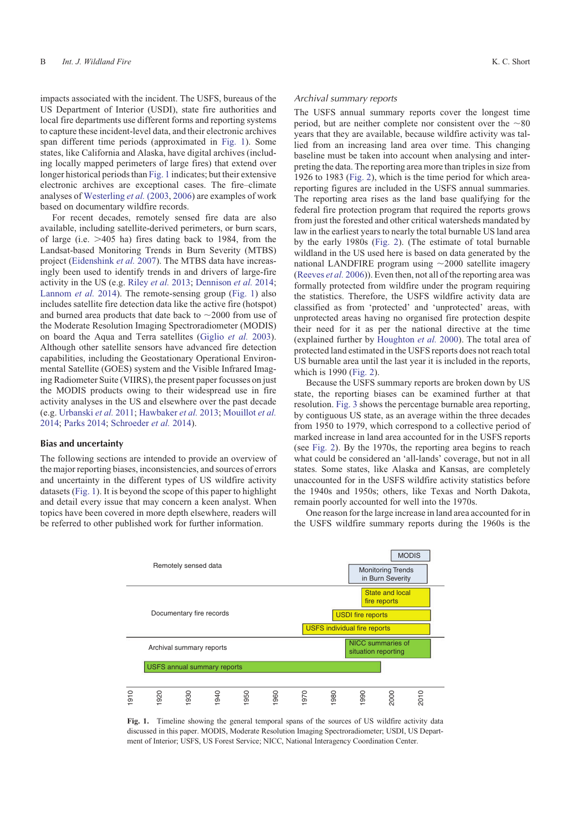<span id="page-1-0"></span>impacts associated with the incident. The USFS, bureaus of the US Department of Interior (USDI), state fire authorities and local fire departments use different forms and reporting systems to capture these incident-level data, and their electronic archives span different time periods (approximated in Fig. 1). Some states, like California and Alaska, have digital archives (including locally mapped perimeters of large fires) that extend over longer historical periods than Fig. 1 indicates; but their extensive electronic archives are exceptional cases. The fire–climate analyses of [Westerling](#page-8-0) *et al.* (2003, [2006](#page-8-0)) are examples of work based on documentary wildfire records.

For recent decades, remotely sensed fire data are also available, including satellite-derived perimeters, or burn scars, of large (i.e.  $>405$  ha) fires dating back to 1984, from the Landsat-based Monitoring Trends in Burn Severity (MTBS) project ([Eidenshink](#page-7-0) *et al.* 2007). The MTBS data have increasingly been used to identify trends in and drivers of large-fire activity in the US (e.g. [Riley](#page-8-0) *et al.* 2013; [Dennison](#page-7-0) *et al.* 2014; [Lannom](#page-7-0) *et al.* 2014). The remote-sensing group (Fig. 1) also includes satellite fire detection data like the active fire (hotspot) and burned area products that date back to  $\sim$ 2000 from use of the Moderate Resolution Imaging Spectroradiometer (MODIS) on board the Aqua and Terra satellites ([Giglio](#page-7-0) *et al.* 2003). Although other satellite sensors have advanced fire detection capabilities, including the Geostationary Operational Environmental Satellite (GOES) system and the Visible Infrared Imaging Radiometer Suite (VIIRS), the present paper focusses on just the MODIS products owing to their widespread use in fire activity analyses in the US and elsewhere over the past decade (e.g. [Urbanski](#page-8-0) *et al.* 2011; [Hawbaker](#page-7-0) *et al.* 2013; [Mouillot](#page-8-0) *et al.* [2014;](#page-8-0) [Parks 2014](#page-8-0); [Schroeder](#page-8-0) *et al.* 2014).

#### Bias and uncertainty

The following sections are intended to provide an overview of the major reporting biases, inconsistencies, and sources of errors and uncertainty in the different types of US wildfire activity datasets (Fig. 1). It is beyond the scope of this paper to highlight and detail every issue that may concern a keen analyst. When topics have been covered in more depth elsewhere, readers will be referred to other published work for further information.

## Archival summary reports

The USFS annual summary reports cover the longest time period, but are neither complete nor consistent over the  $\sim80$ years that they are available, because wildfire activity was tallied from an increasing land area over time. This changing baseline must be taken into account when analysing and interpreting the data. The reporting area more than triples in size from 1926 to 1983 ([Fig. 2\)](#page-2-0), which is the time period for which areareporting figures are included in the USFS annual summaries. The reporting area rises as the land base qualifying for the federal fire protection program that required the reports grows from just the forested and other critical watersheds mandated by law in the earliest years to nearly the total burnable US land area by the early 1980s ([Fig. 2\)](#page-2-0). (The estimate of total burnable wildland in the US used here is based on data generated by the national LANDFIRE program using  $\sim$  2000 satellite imagery [\(Reeves](#page-8-0) *et al.* 2006)). Even then, not all of the reporting area was formally protected from wildfire under the program requiring the statistics. Therefore, the USFS wildfire activity data are classified as from 'protected' and 'unprotected' areas, with unprotected areas having no organised fire protection despite their need for it as per the national directive at the time (explained further by [Houghton](#page-7-0) *et al.* 2000). The total area of protected land estimated in the USFS reports does not reach total US burnable area until the last year it is included in the reports, which is 1990 ([Fig. 2\)](#page-2-0).

Because the USFS summary reports are broken down by US state, the reporting biases can be examined further at that resolution. [Fig. 3](#page-2-0) shows the percentage burnable area reporting, by contiguous US state, as an average within the three decades from 1950 to 1979, which correspond to a collective period of marked increase in land area accounted for in the USFS reports (see [Fig. 2](#page-2-0)). By the 1970s, the reporting area begins to reach what could be considered an 'all-lands' coverage, but not in all states. Some states, like Alaska and Kansas, are completely unaccounted for in the USFS wildfire activity statistics before the 1940s and 1950s; others, like Texas and North Dakota, remain poorly accounted for well into the 1970s.

One reason for the large increase in land area accounted for in the USFS wildfire summary reports during the 1960s is the



Fig. 1. Timeline showing the general temporal spans of the sources of US wildfire activity data discussed in this paper. MODIS, Moderate Resolution Imaging Spectroradiometer; USDI, US Department of Interior; USFS, US Forest Service; NICC, National Interagency Coordination Center.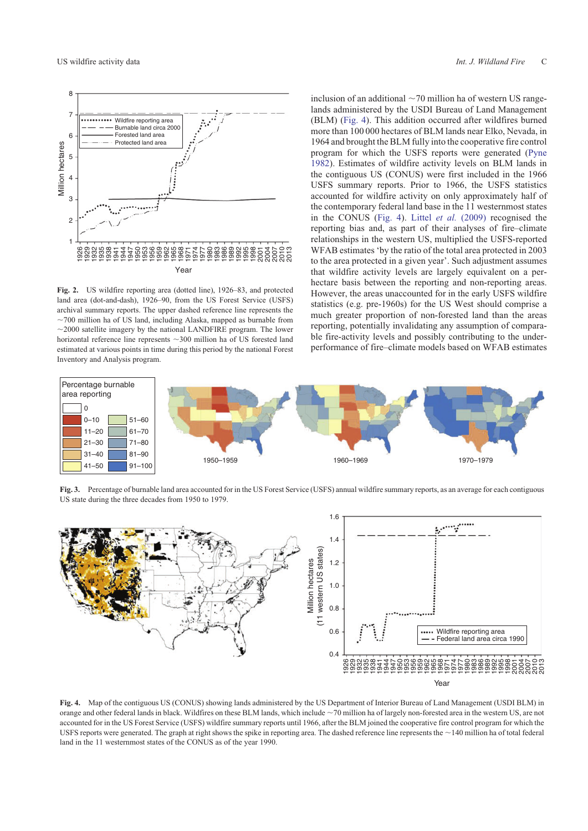<span id="page-2-0"></span>

**Fig. 2.** US wildfire reporting area (dotted line), 1926–83, and protected land area (dot-and-dash), 1926–90, from the US Forest Service (USFS) archival summary reports. The upper dashed reference line represents the  $\sim$  700 million ha of US land, including Alaska, mapped as burnable from  $\sim$ 2000 satellite imagery by the national LANDFIRE program. The lower horizontal reference line represents  $\sim$ 300 million ha of US forested land estimated at various points in time during this period by the national Forest Inventory and Analysis program.

inclusion of an additional  $\sim$  70 million ha of western US rangelands administered by the USDI Bureau of Land Management (BLM) (Fig. 4). This addition occurred after wildfires burned more than 100 000 hectares of BLM lands near Elko, Nevada, in 1964 and brought the BLM fully into the cooperative fire control program for which the USFS reports were generated ([Pyne](#page-8-0) [1982\)](#page-8-0). Estimates of wildfire activity levels on BLM lands in the contiguous US (CONUS) were first included in the 1966 USFS summary reports. Prior to 1966, the USFS statistics accounted for wildfire activity on only approximately half of the contemporary federal land base in the 11 westernmost states in the CONUS (Fig. 4). Littel *et al.* [\(2009\)](#page-8-0) recognised the reporting bias and, as part of their analyses of fire–climate relationships in the western US, multiplied the USFS-reported WFAB estimates 'by the ratio of the total area protected in 2003 to the area protected in a given year'. Such adjustment assumes that wildfire activity levels are largely equivalent on a perhectare basis between the reporting and non-reporting areas. However, the areas unaccounted for in the early USFS wildfire statistics (e.g. pre-1960s) for the US West should comprise a much greater proportion of non-forested land than the areas reporting, potentially invalidating any assumption of comparable fire-activity levels and possibly contributing to the underperformance of fire–climate models based on WFAB estimates



**Fig. 3.** Percentage of burnable land area accounted for in the US Forest Service (USFS) annual wildfire summary reports, as an average for each contiguous US state during the three decades from 1950 to 1979.



**Fig. 4.** Map of the contiguous US (CONUS) showing lands administered by the US Department of Interior Bureau of Land Management (USDI BLM) in orange and other federal lands in black. Wildfires on these BLM lands, which include  $\sim$  70 million ha of largely non-forested area in the western US, are not accounted for in the US Forest Service (USFS) wildfire summary reports until 1966, after the BLM joined the cooperative fire control program for which the USFS reports were generated. The graph at right shows the spike in reporting area. The dashed reference line represents the  $\sim$  140 million ha of total federal land in the 11 westernmost states of the CONUS as of the year 1990.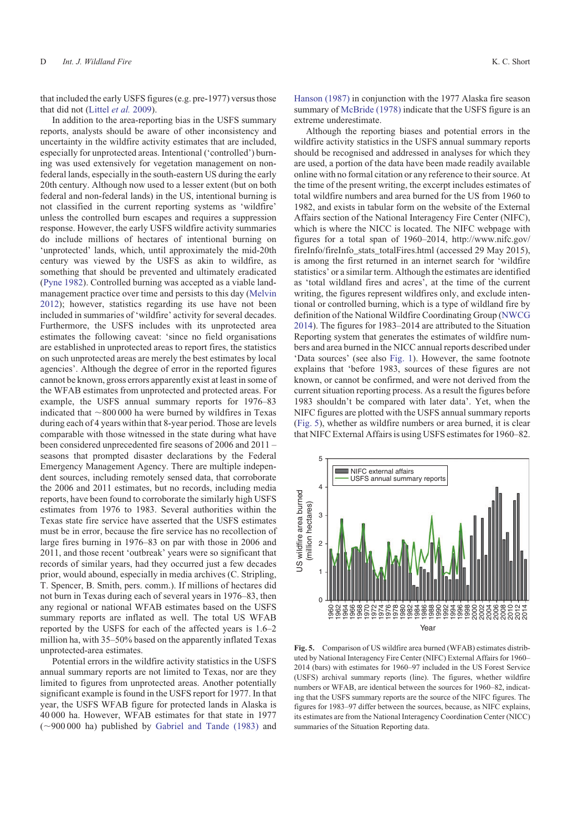<span id="page-3-0"></span>that included the early USFS figures (e.g. pre-1977) versus those that did not ([Littel](#page-8-0) *et al.* 2009).

In addition to the area-reporting bias in the USFS summary reports, analysts should be aware of other inconsistency and uncertainty in the wildfire activity estimates that are included, especially for unprotected areas. Intentional ('controlled') burning was used extensively for vegetation management on nonfederal lands, especially in the south-eastern US during the early 20th century. Although now used to a lesser extent (but on both federal and non-federal lands) in the US, intentional burning is not classified in the current reporting systems as 'wildfire' unless the controlled burn escapes and requires a suppression response. However, the early USFS wildfire activity summaries do include millions of hectares of intentional burning on 'unprotected' lands, which, until approximately the mid-20th century was viewed by the USFS as akin to wildfire, as something that should be prevented and ultimately eradicated ([Pyne 1982](#page-8-0)). Controlled burning was accepted as a viable landmanagement practice over time and persists to this day ([Melvin](#page-8-0) [2012\)](#page-8-0); however, statistics regarding its use have not been included in summaries of 'wildfire' activity for several decades. Furthermore, the USFS includes with its unprotected area estimates the following caveat: 'since no field organisations are established in unprotected areas to report fires, the statistics on such unprotected areas are merely the best estimates by local agencies'. Although the degree of error in the reported figures cannot be known, gross errors apparently exist at least in some of the WFAB estimates from unprotected and protected areas. For example, the USFS annual summary reports for 1976–83 indicated that  $\sim$ 800 000 ha were burned by wildfires in Texas during each of 4 years within that 8-year period. Those are levels comparable with those witnessed in the state during what have been considered unprecedented fire seasons of 2006 and 2011 – seasons that prompted disaster declarations by the Federal Emergency Management Agency. There are multiple independent sources, including remotely sensed data, that corroborate the 2006 and 2011 estimates, but no records, including media reports, have been found to corroborate the similarly high USFS estimates from 1976 to 1983. Several authorities within the Texas state fire service have asserted that the USFS estimates must be in error, because the fire service has no recollection of large fires burning in 1976–83 on par with those in 2006 and 2011, and those recent 'outbreak' years were so significant that records of similar years, had they occurred just a few decades prior, would abound, especially in media archives (C. Stripling, T. Spencer, B. Smith, pers. comm.). If millions of hectares did not burn in Texas during each of several years in 1976–83, then any regional or national WFAB estimates based on the USFS summary reports are inflated as well. The total US WFAB reported by the USFS for each of the affected years is 1.6–2 million ha, with 35–50% based on the apparently inflated Texas unprotected-area estimates.

Potential errors in the wildfire activity statistics in the USFS annual summary reports are not limited to Texas, nor are they limited to figures from unprotected areas. Another potentially significant example is found in the USFS report for 1977. In that year, the USFS WFAB figure for protected lands in Alaska is 40 000 ha. However, WFAB estimates for that state in 1977  $(\sim)900000$  ha) published by [Gabriel and Tande \(1983\)](#page-7-0) and [Hanson \(1987\)](#page-7-0) in conjunction with the 1977 Alaska fire season summary of [McBride \(1978\)](#page-8-0) indicate that the USFS figure is an extreme underestimate.

Although the reporting biases and potential errors in the wildfire activity statistics in the USFS annual summary reports should be recognised and addressed in analyses for which they are used, a portion of the data have been made readily available online with no formal citation or any reference to their source. At the time of the present writing, the excerpt includes estimates of total wildfire numbers and area burned for the US from 1960 to 1982, and exists in tabular form on the website of the External Affairs section of the National Interagency Fire Center (NIFC), which is where the NICC is located. The NIFC webpage with figures for a total span of 1960–2014, [http://www.nifc.gov/](http://www.nifc.gov/fireInfo/fireInfo_stats_totalFires.html) [fireInfo/fireInfo\\_stats\\_totalFires.html](http://www.nifc.gov/fireInfo/fireInfo_stats_totalFires.html) (accessed 29 May 2015), is among the first returned in an internet search for 'wildfire statistics' or a similar term. Although the estimates are identified as 'total wildland fires and acres', at the time of the current writing, the figures represent wildfires only, and exclude intentional or controlled burning, which is a type of wildland fire by definition of the National Wildfire Coordinating Group [\(NWCG](#page-8-0) [2014\)](#page-8-0). The figures for 1983–2014 are attributed to the Situation Reporting system that generates the estimates of wildfire numbers and area burned in the NICC annual reports described under 'Data sources' (see also [Fig. 1\)](#page-1-0). However, the same footnote explains that 'before 1983, sources of these figures are not known, or cannot be confirmed, and were not derived from the current situation reporting process. As a result the figures before 1983 shouldn't be compared with later data'. Yet, when the NIFC figures are plotted with the USFS annual summary reports (Fig. 5), whether as wildfire numbers or area burned, it is clear that NIFC External Affairs is using USFS estimates for 1960–82.



**Fig. 5.** Comparison of US wildfire area burned (WFAB) estimates distributed by National Interagency Fire Center (NIFC) External Affairs for 1960– 2014 (bars) with estimates for 1960–97 included in the US Forest Service (USFS) archival summary reports (line). The figures, whether wildfire numbers or WFAB, are identical between the sources for 1960–82, indicating that the USFS summary reports are the source of the NIFC figures. The figures for 1983–97 differ between the sources, because, as NIFC explains, its estimates are from the National Interagency Coordination Center (NICC) summaries of the Situation Reporting data.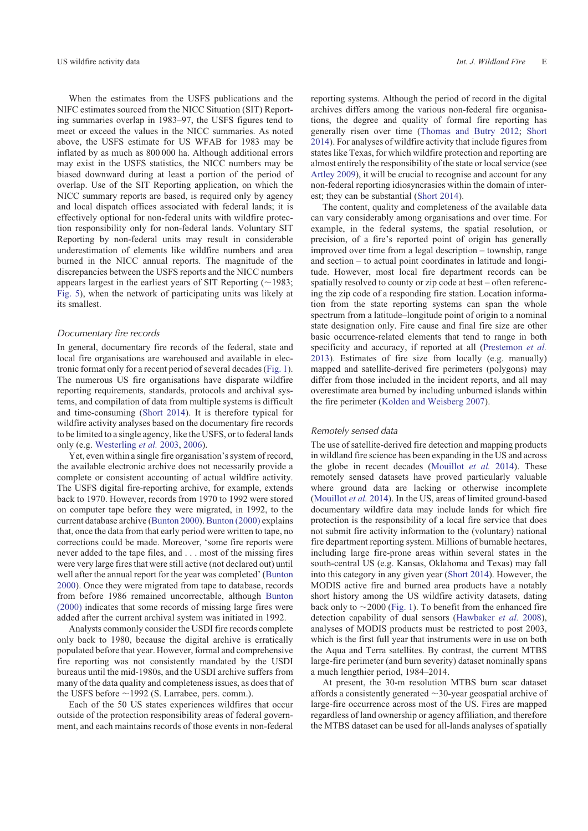When the estimates from the USFS publications and the NIFC estimates sourced from the NICC Situation (SIT) Reporting summaries overlap in 1983–97, the USFS figures tend to meet or exceed the values in the NICC summaries. As noted above, the USFS estimate for US WFAB for 1983 may be inflated by as much as 800 000 ha. Although additional errors may exist in the USFS statistics, the NICC numbers may be biased downward during at least a portion of the period of overlap. Use of the SIT Reporting application, on which the NICC summary reports are based, is required only by agency and local dispatch offices associated with federal lands; it is effectively optional for non-federal units with wildfire protection responsibility only for non-federal lands. Voluntary SIT Reporting by non-federal units may result in considerable underestimation of elements like wildfire numbers and area burned in the NICC annual reports. The magnitude of the discrepancies between the USFS reports and the NICC numbers appears largest in the earliest years of SIT Reporting  $(\sim 1983;$ [Fig. 5\)](#page-3-0), when the network of participating units was likely at its smallest.

## Documentary fire records

In general, documentary fire records of the federal, state and local fire organisations are warehoused and available in electronic format only for a recent period of several decades ([Fig. 1](#page-1-0)). The numerous US fire organisations have disparate wildfire reporting requirements, standards, protocols and archival systems, and compilation of data from multiple systems is difficult and time-consuming [\(Short 2014\)](#page-8-0). It is therefore typical for wildfire activity analyses based on the documentary fire records to be limited to a single agency, like the USFS, or to federal lands only (e.g. [Westerling](#page-8-0) *et al.* 2003, [2006\)](#page-8-0).

Yet, even within a single fire organisation's system of record, the available electronic archive does not necessarily provide a complete or consistent accounting of actual wildfire activity. The USFS digital fire-reporting archive, for example, extends back to 1970. However, records from 1970 to 1992 were stored on computer tape before they were migrated, in 1992, to the current database archive [\(Bunton 2000\)](#page-7-0). [Bunton \(2000\)](#page-7-0) explains that, once the data from that early period were written to tape, no corrections could be made. Moreover, 'some fire reports were never added to the tape files, and . . . most of the missing fires were very large fires that were still active (not declared out) until well after the annual report for the year was completed' ([Bunton](#page-7-0) [2000\)](#page-7-0). Once they were migrated from tape to database, records from before 1986 remained uncorrectable, although [Bunton](#page-7-0) [\(2000\)](#page-7-0) indicates that some records of missing large fires were added after the current archival system was initiated in 1992.

Analysts commonly consider the USDI fire records complete only back to 1980, because the digital archive is erratically populated before that year. However, formal and comprehensive fire reporting was not consistently mandated by the USDI bureaus until the mid-1980s, and the USDI archive suffers from many of the data quality and completeness issues, as does that of the USFS before  $\sim$ 1992 (S. Larrabee, pers. comm.).

Each of the 50 US states experiences wildfires that occur outside of the protection responsibility areas of federal government, and each maintains records of those events in non-federal reporting systems. Although the period of record in the digital archives differs among the various non-federal fire organisations, the degree and quality of formal fire reporting has generally risen over time ([Thomas and Butry 2012;](#page-8-0) [Short](#page-8-0) [2014\)](#page-8-0). For analyses of wildfire activity that include figures from states like Texas, for which wildfire protection and reporting are almost entirely the responsibility of the state or local service (see [Artley 2009](#page-7-0)), it will be crucial to recognise and account for any non-federal reporting idiosyncrasies within the domain of interest; they can be substantial ([Short 2014](#page-8-0)).

The content, quality and completeness of the available data can vary considerably among organisations and over time. For example, in the federal systems, the spatial resolution, or precision, of a fire's reported point of origin has generally improved over time from a legal description – township, range and section – to actual point coordinates in latitude and longitude. However, most local fire department records can be spatially resolved to county or zip code at best – often referencing the zip code of a responding fire station. Location information from the state reporting systems can span the whole spectrum from a latitude–longitude point of origin to a nominal state designation only. Fire cause and final fire size are other basic occurrence-related elements that tend to range in both specificity and accuracy, if reported at all [\(Prestemon](#page-8-0) *et al.* [2013\)](#page-8-0). Estimates of fire size from locally (e.g. manually) mapped and satellite-derived fire perimeters (polygons) may differ from those included in the incident reports, and all may overestimate area burned by including unburned islands within the fire perimeter ([Kolden and Weisberg 2007\)](#page-7-0).

## Remotely sensed data

The use of satellite-derived fire detection and mapping products in wildland fire science has been expanding in the US and across the globe in recent decades ([Mouillot](#page-8-0) *et al.* 2014). These remotely sensed datasets have proved particularly valuable where ground data are lacking or otherwise incomplete ([Mouillot](#page-8-0) *et al.* 2014). In the US, areas of limited ground-based documentary wildfire data may include lands for which fire protection is the responsibility of a local fire service that does not submit fire activity information to the (voluntary) national fire department reporting system. Millions of burnable hectares, including large fire-prone areas within several states in the south-central US (e.g. Kansas, Oklahoma and Texas) may fall into this category in any given year ([Short 2014](#page-8-0)). However, the MODIS active fire and burned area products have a notably short history among the US wildfire activity datasets, dating back only to  $\sim$  2000 [\(Fig. 1](#page-1-0)). To benefit from the enhanced fire detection capability of dual sensors [\(Hawbaker](#page-7-0) *et al.* 2008), analyses of MODIS products must be restricted to post 2003, which is the first full year that instruments were in use on both the Aqua and Terra satellites. By contrast, the current MTBS large-fire perimeter (and burn severity) dataset nominally spans a much lengthier period, 1984–2014.

At present, the 30-m resolution MTBS burn scar dataset affords a consistently generated  $\sim$ 30-year geospatial archive of large-fire occurrence across most of the US. Fires are mapped regardless of land ownership or agency affiliation, and therefore the MTBS dataset can be used for all-lands analyses of spatially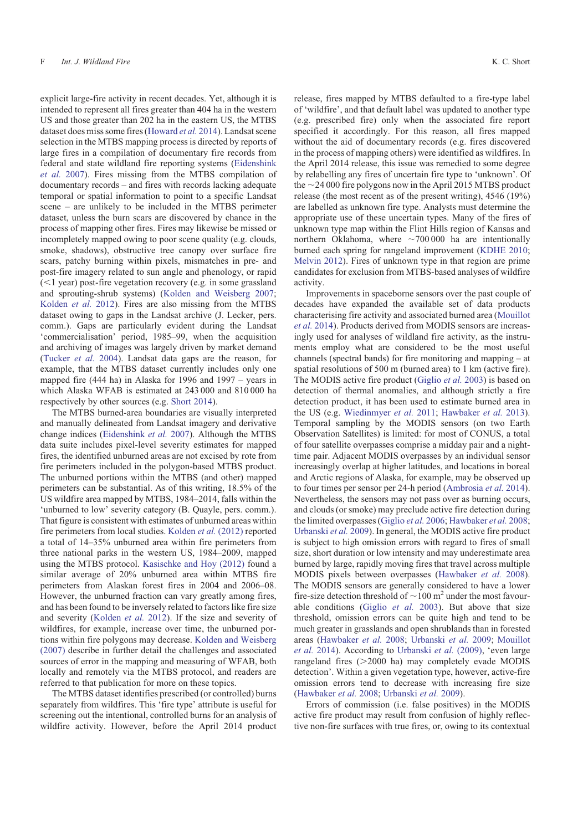explicit large-fire activity in recent decades. Yet, although it is intended to represent all fires greater than 404 ha in the western US and those greater than 202 ha in the eastern US, the MTBS dataset does miss some fires ([Howard](#page-7-0) *et al.* 2014). Landsat scene selection in the MTBS mapping process is directed by reports of large fires in a compilation of documentary fire records from federal and state wildland fire reporting systems [\(Eidenshink](#page-7-0) *[et al.](#page-7-0)* 2007). Fires missing from the MTBS compilation of documentary records – and fires with records lacking adequate temporal or spatial information to point to a specific Landsat scene – are unlikely to be included in the MTBS perimeter dataset, unless the burn scars are discovered by chance in the process of mapping other fires. Fires may likewise be missed or incompletely mapped owing to poor scene quality (e.g. clouds, smoke, shadows), obstructive tree canopy over surface fire scars, patchy burning within pixels, mismatches in pre- and post-fire imagery related to sun angle and phenology, or rapid  $(<1$  year) post-fire vegetation recovery (e.g. in some grassland and sprouting-shrub systems) ([Kolden and Weisberg 2007](#page-7-0); [Kolden](#page-7-0) *et al.* 2012). Fires are also missing from the MTBS dataset owing to gaps in the Landsat archive (J. Lecker, pers. comm.). Gaps are particularly evident during the Landsat 'commercialisation' period, 1985–99, when the acquisition and archiving of images was largely driven by market demand ([Tucker](#page-8-0) *et al.* 2004). Landsat data gaps are the reason, for example, that the MTBS dataset currently includes only one mapped fire (444 ha) in Alaska for 1996 and 1997 – years in which Alaska WFAB is estimated at 243 000 and 810 000 ha respectively by other sources (e.g. [Short 2014](#page-8-0)).

The MTBS burned-area boundaries are visually interpreted and manually delineated from Landsat imagery and derivative change indices [\(Eidenshink](#page-7-0) *et al.* 2007). Although the MTBS data suite includes pixel-level severity estimates for mapped fires, the identified unburned areas are not excised by rote from fire perimeters included in the polygon-based MTBS product. The unburned portions within the MTBS (and other) mapped perimeters can be substantial. As of this writing, 18.5% of the US wildfire area mapped by MTBS, 1984–2014, falls within the 'unburned to low' severity category (B. Quayle, pers. comm.). That figure is consistent with estimates of unburned areas within fire perimeters from local studies. [Kolden](#page-7-0) *et al.* (2012) reported a total of 14–35% unburned area within fire perimeters from three national parks in the western US, 1984–2009, mapped using the MTBS protocol. [Kasischke and Hoy \(2012\)](#page-7-0) found a similar average of 20% unburned area within MTBS fire perimeters from Alaskan forest fires in 2004 and 2006–08. However, the unburned fraction can vary greatly among fires, and has been found to be inversely related to factors like fire size and severity ([Kolden](#page-7-0) *et al.* 2012). If the size and severity of wildfires, for example, increase over time, the unburned portions within fire polygons may decrease. [Kolden and Weisberg](#page-7-0) [\(2007\)](#page-7-0) describe in further detail the challenges and associated sources of error in the mapping and measuring of WFAB, both locally and remotely via the MTBS protocol, and readers are referred to that publication for more on these topics.

The MTBS dataset identifies prescribed (or controlled) burns separately from wildfires. This 'fire type' attribute is useful for screening out the intentional, controlled burns for an analysis of wildfire activity. However, before the April 2014 product release, fires mapped by MTBS defaulted to a fire-type label of 'wildfire', and that default label was updated to another type (e.g. prescribed fire) only when the associated fire report specified it accordingly. For this reason, all fires mapped without the aid of documentary records (e.g. fires discovered in the process of mapping others) were identified as wildfires. In the April 2014 release, this issue was remedied to some degree by relabelling any fires of uncertain fire type to 'unknown'. Of the  $\sim$  24 000 fire polygons now in the April 2015 MTBS product release (the most recent as of the present writing), 4546 (19%) are labelled as unknown fire type. Analysts must determine the appropriate use of these uncertain types. Many of the fires of unknown type map within the Flint Hills region of Kansas and northern Oklahoma, where  $\sim$ 700 000 ha are intentionally burned each spring for rangeland improvement [\(KDHE 2010](#page-7-0); [Melvin 2012](#page-8-0)). Fires of unknown type in that region are prime candidates for exclusion from MTBS-based analyses of wildfire activity.

Improvements in spaceborne sensors over the past couple of decades have expanded the available set of data products characterising fire activity and associated burned area ([Mouillot](#page-8-0) *[et al.](#page-8-0)* 2014). Products derived from MODIS sensors are increasingly used for analyses of wildland fire activity, as the instruments employ what are considered to be the most useful channels (spectral bands) for fire monitoring and mapping – at spatial resolutions of 500 m (burned area) to 1 km (active fire). The MODIS active fire product ([Giglio](#page-7-0) *et al.* 2003) is based on detection of thermal anomalies, and although strictly a fire detection product, it has been used to estimate burned area in the US (e.g. [Wiedinmyer](#page-8-0) *et al.* 2011; [Hawbaker](#page-7-0) *et al.* 2013). Temporal sampling by the MODIS sensors (on two Earth Observation Satellites) is limited: for most of CONUS, a total of four satellite overpasses comprise a midday pair and a nighttime pair. Adjacent MODIS overpasses by an individual sensor increasingly overlap at higher latitudes, and locations in boreal and Arctic regions of Alaska, for example, may be observed up to four times per sensor per 24-h period [\(Ambrosia](#page-7-0) *et al.* 2014). Nevertheless, the sensors may not pass over as burning occurs, and clouds (or smoke) may preclude active fire detection during the limited overpasses ([Giglio](#page-7-0) *et al.* 2006; [Hawbaker](#page-7-0) *et al.* 2008; [Urbanski](#page-8-0) *et al.* 2009). In general, the MODIS active fire product is subject to high omission errors with regard to fires of small size, short duration or low intensity and may underestimate area burned by large, rapidly moving fires that travel across multiple MODIS pixels between overpasses ([Hawbaker](#page-7-0) *et al.* 2008). The MODIS sensors are generally considered to have a lower fire-size detection threshold of  $\sim$  100 m<sup>2</sup> under the most favourable conditions [\(Giglio](#page-7-0) *et al.* 2003). But above that size threshold, omission errors can be quite high and tend to be much greater in grasslands and open shrublands than in forested areas [\(Hawbaker](#page-7-0) *et al.* 2008; [Urbanski](#page-8-0) *et al.* 2009; [Mouillot](#page-8-0) *[et al.](#page-8-0)* 2014). According to [Urbanski](#page-8-0) *et al.* (2009), 'even large rangeland fires  $($  > 2000 ha) may completely evade MODIS detection'. Within a given vegetation type, however, active-fire omission errors tend to decrease with increasing fire size [\(Hawbaker](#page-7-0) *et al.* 2008; [Urbanski](#page-8-0) *et al.* 2009).

Errors of commission (i.e. false positives) in the MODIS active fire product may result from confusion of highly reflective non-fire surfaces with true fires, or, owing to its contextual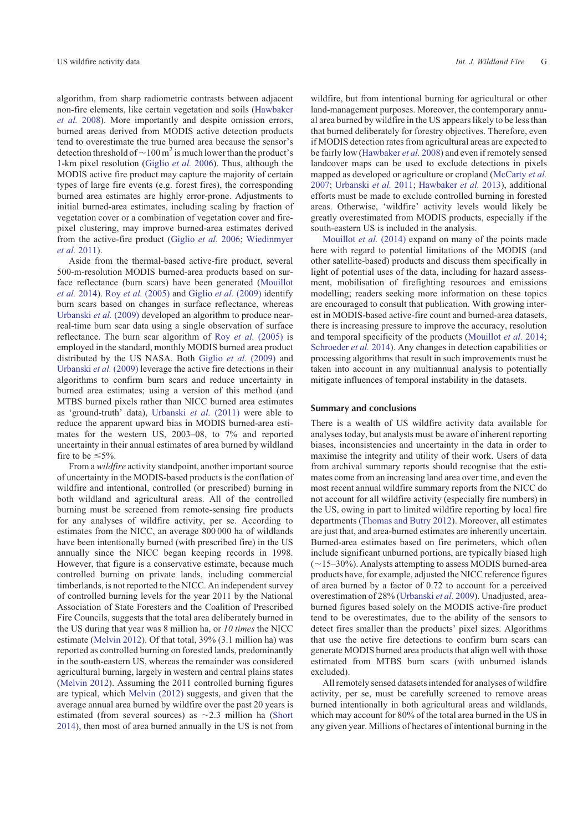algorithm, from sharp radiometric contrasts between adjacent non-fire elements, like certain vegetation and soils ([Hawbaker](#page-7-0) *[et al.](#page-7-0)* 2008). More importantly and despite omission errors, burned areas derived from MODIS active detection products tend to overestimate the true burned area because the sensor's detection threshold of  $\sim$  100 m<sup>2</sup> is much lower than the product's 1-km pixel resolution [\(Giglio](#page-7-0) *et al.* 2006). Thus, although the MODIS active fire product may capture the majority of certain types of large fire events (e.g. forest fires), the corresponding burned area estimates are highly error-prone. Adjustments to initial burned-area estimates, including scaling by fraction of vegetation cover or a combination of vegetation cover and firepixel clustering, may improve burned-area estimates derived from the active-fire product [\(Giglio](#page-7-0) *et al.* 2006; [Wiedinmyer](#page-8-0) *[et al.](#page-8-0)* 2011).

Aside from the thermal-based active-fire product, several 500-m-resolution MODIS burned-area products based on surface reflectance (burn scars) have been generated ([Mouillot](#page-8-0) *et al.* [2014\)](#page-8-0). Roy *et al.* [\(2005\)](#page-8-0) and Giglio *et al.* [\(2009\)](#page-7-0) identify burn scars based on changes in surface reflectance, whereas [Urbanski](#page-8-0) *et al.* (2009) developed an algorithm to produce nearreal-time burn scar data using a single observation of surface reflectance. The burn scar algorithm of Roy *et al.* [\(2005\)](#page-8-0) is employed in the standard, monthly MODIS burned area product distributed by the US NASA. Both Giglio *et al.* [\(2009\)](#page-7-0) and [Urbanski](#page-8-0) *et al.* (2009) leverage the active fire detections in their algorithms to confirm burn scars and reduce uncertainty in burned area estimates; using a version of this method (and MTBS burned pixels rather than NICC burned area estimates as 'ground-truth' data), [Urbanski](#page-8-0) *et al.* (2011) were able to reduce the apparent upward bias in MODIS burned-area estimates for the western US, 2003–08, to 7% and reported uncertainty in their annual estimates of area burned by wildland fire to be  $\leq 5\%$ .

From a *wildfire* activity standpoint, another important source of uncertainty in the MODIS-based products is the conflation of wildfire and intentional, controlled (or prescribed) burning in both wildland and agricultural areas. All of the controlled burning must be screened from remote-sensing fire products for any analyses of wildfire activity, per se. According to estimates from the NICC, an average 800 000 ha of wildlands have been intentionally burned (with prescribed fire) in the US annually since the NICC began keeping records in 1998. However, that figure is a conservative estimate, because much controlled burning on private lands, including commercial timberlands, is not reported to the NICC. An independent survey of controlled burning levels for the year 2011 by the National Association of State Foresters and the Coalition of Prescribed Fire Councils, suggests that the total area deliberately burned in the US during that year was 8 million ha, or *10 times* the NICC estimate ([Melvin 2012](#page-8-0)). Of that total, 39% (3.1 million ha) was reported as controlled burning on forested lands, predominantly in the south-eastern US, whereas the remainder was considered agricultural burning, largely in western and central plains states ([Melvin 2012](#page-8-0)). Assuming the 2011 controlled burning figures are typical, which [Melvin \(2012\)](#page-8-0) suggests, and given that the average annual area burned by wildfire over the past 20 years is estimated (from several sources) as  $\sim$  2.3 million ha [\(Short](#page-8-0) [2014\)](#page-8-0), then most of area burned annually in the US is not from

wildfire, but from intentional burning for agricultural or other land-management purposes. Moreover, the contemporary annual area burned by wildfire in the US appears likely to be less than that burned deliberately for forestry objectives. Therefore, even if MODIS detection rates from agricultural areas are expected to be fairly low ([Hawbaker](#page-7-0) *et al.* 2008) and even if remotely sensed landcover maps can be used to exclude detections in pixels mapped as developed or agriculture or cropland [\(McCarty](#page-8-0) *et al.* [2007;](#page-8-0) [Urbanski](#page-8-0) *et al.* 2011; [Hawbaker](#page-7-0) *et al.* 2013), additional efforts must be made to exclude controlled burning in forested areas. Otherwise, 'wildfire' activity levels would likely be greatly overestimated from MODIS products, especially if the south-eastern US is included in the analysis.

[Mouillot](#page-8-0) *et al.* (2014) expand on many of the points made here with regard to potential limitations of the MODIS (and other satellite-based) products and discuss them specifically in light of potential uses of the data, including for hazard assessment, mobilisation of firefighting resources and emissions modelling; readers seeking more information on these topics are encouraged to consult that publication. With growing interest in MODIS-based active-fire count and burned-area datasets, there is increasing pressure to improve the accuracy, resolution and temporal specificity of the products [\(Mouillot](#page-8-0) *et al.* 2014; [Schroeder](#page-8-0) *et al.* 2014). Any changes in detection capabilities or processing algorithms that result in such improvements must be taken into account in any multiannual analysis to potentially mitigate influences of temporal instability in the datasets.

## Summary and conclusions

There is a wealth of US wildfire activity data available for analyses today, but analysts must be aware of inherent reporting biases, inconsistencies and uncertainty in the data in order to maximise the integrity and utility of their work. Users of data from archival summary reports should recognise that the estimates come from an increasing land area over time, and even the most recent annual wildfire summary reports from the NICC do not account for all wildfire activity (especially fire numbers) in the US, owing in part to limited wildfire reporting by local fire departments [\(Thomas and Butry 2012\)](#page-8-0). Moreover, all estimates are just that, and area-burned estimates are inherently uncertain. Burned-area estimates based on fire perimeters, which often include significant unburned portions, are typically biased high  $(\sim15-30\%)$ . Analysts attempting to assess MODIS burned-area products have, for example, adjusted the NICC reference figures of area burned by a factor of 0.72 to account for a perceived overestimation of 28% ([Urbanski](#page-8-0) *et al.* 2009). Unadjusted, areaburned figures based solely on the MODIS active-fire product tend to be overestimates, due to the ability of the sensors to detect fires smaller than the products' pixel sizes. Algorithms that use the active fire detections to confirm burn scars can generate MODIS burned area products that align well with those estimated from MTBS burn scars (with unburned islands excluded).

All remotely sensed datasets intended for analyses of wildfire activity, per se, must be carefully screened to remove areas burned intentionally in both agricultural areas and wildlands, which may account for 80% of the total area burned in the US in any given year. Millions of hectares of intentional burning in the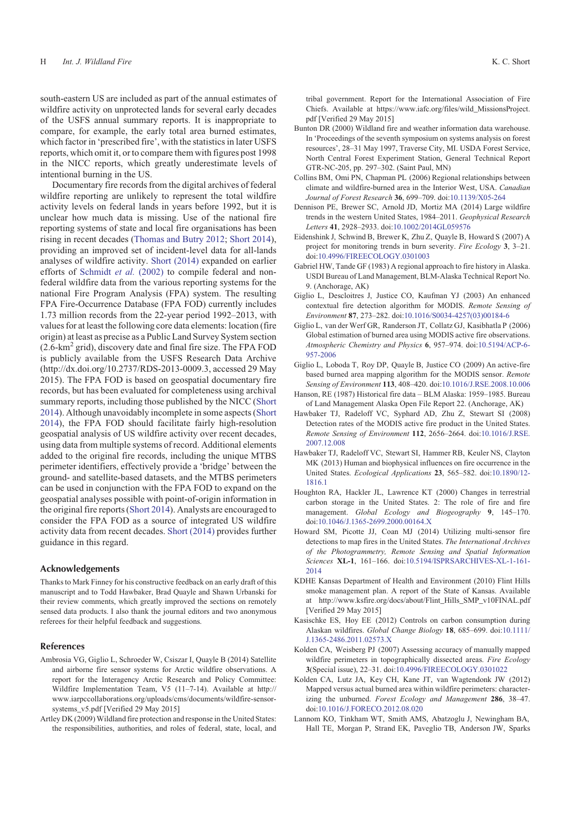<span id="page-7-0"></span>south-eastern US are included as part of the annual estimates of wildfire activity on unprotected lands for several early decades of the USFS annual summary reports. It is inappropriate to compare, for example, the early total area burned estimates, which factor in 'prescribed fire', with the statistics in later USFS reports, which omit it, or to compare them with figures post 1998 in the NICC reports, which greatly underestimate levels of intentional burning in the US.

Documentary fire records from the digital archives of federal wildfire reporting are unlikely to represent the total wildfire activity levels on federal lands in years before 1992, but it is unclear how much data is missing. Use of the national fire reporting systems of state and local fire organisations has been rising in recent decades ([Thomas and Butry 2012;](#page-8-0) [Short 2014](#page-8-0)), providing an improved set of incident-level data for all-lands analyses of wildfire activity. [Short \(2014\)](#page-8-0) expanded on earlier efforts of [Schmidt](#page-8-0) *et al.* (2002) to compile federal and nonfederal wildfire data from the various reporting systems for the national Fire Program Analysis (FPA) system. The resulting FPA Fire-Occurrence Database (FPA FOD) currently includes 1.73 million records from the 22-year period 1992–2013, with values for at least the following core data elements: location (fire origin) at least as precise as a Public Land Survey System section  $(2.6-km^2 \text{ grid})$ , discovery date and final fire size. The FPA FOD is publicly available from the USFS Research Data Archive (<http://dx.doi.org/10.2737/RDS-2013-0009.3>, accessed 29 May 2015). The FPA FOD is based on geospatial documentary fire records, but has been evaluated for completeness using archival summary reports, including those published by the NICC [\(Short](#page-8-0) [2014\)](#page-8-0). Although unavoidably incomplete in some aspects [\(Short](#page-8-0) [2014\)](#page-8-0), the FPA FOD should facilitate fairly high-resolution geospatial analysis of US wildfire activity over recent decades, using data from multiple systems of record. Additional elements added to the original fire records, including the unique MTBS perimeter identifiers, effectively provide a 'bridge' between the ground- and satellite-based datasets, and the MTBS perimeters can be used in conjunction with the FPA FOD to expand on the geospatial analyses possible with point-of-origin information in the original fire reports [\(Short 2014](#page-8-0)). Analysts are encouraged to consider the FPA FOD as a source of integrated US wildfire activity data from recent decades. [Short \(2014\)](#page-8-0) provides further guidance in this regard.

## Acknowledgements

Thanks to Mark Finney for his constructive feedback on an early draft of this manuscript and to Todd Hawbaker, Brad Quayle and Shawn Urbanski for their review comments, which greatly improved the sections on remotely sensed data products. I also thank the journal editors and two anonymous referees for their helpful feedback and suggestions.

## References

- Ambrosia VG, Giglio L, Schroeder W, Csiszar I, Quayle B (2014) Satellite and airborne fire sensor systems for Arctic wildfire observations. A report for the Interagency Arctic Research and Policy Committee: Wildfire Implementation Team, V5 (11–7-14). Available at [http://](http://www.iarpccollaborations.org/uploads/cms/documents/wildfire-sensor-systems_v5.pdf) [www.iarpccollaborations.org/uploads/cms/documents/wildfire-sensor](http://www.iarpccollaborations.org/uploads/cms/documents/wildfire-sensor-systems_v5.pdf)[systems\\_v5.pdf](http://www.iarpccollaborations.org/uploads/cms/documents/wildfire-sensor-systems_v5.pdf) [Verified 29 May 2015]
- Artley DK (2009) Wildland fire protection and response in the United States: the responsibilities, authorities, and roles of federal, state, local, and

tribal government. Report for the International Association of Fire Chiefs. Available at [https://www.iafc.org/files/wild\\_MissionsProject.](https://www.iafc.org/files/wild_MissionsProject.pdf) [pdf](https://www.iafc.org/files/wild_MissionsProject.pdf) [Verified 29 May 2015]

- Bunton DR (2000) Wildland fire and weather information data warehouse. In 'Proceedings of the seventh symposium on systems analysis on forest resources', 28–31 May 1997, Traverse City, MI. USDA Forest Service, North Central Forest Experiment Station, General Technical Report GTR-NC-205, pp. 297–302. (Saint Paul, MN)
- Collins BM, Omi PN, Chapman PL (2006) Regional relationships between climate and wildfire-burned area in the Interior West, USA. *Canadian Journal of Forest Research* **36**, 699–709. doi:[10.1139/X05-264](http://dx.doi.org/10.1139/X05-264)
- Dennison PE, Brewer SC, Arnold JD, Mortiz MA (2014) Large wildfire trends in the western United States, 1984–2011. *Geophysical Research Letters* **41**, 2928–2933. doi[:10.1002/2014GL059576](http://dx.doi.org/10.1002/2014GL059576)
- Eidenshink J, Schwind B, Brewer K, Zhu Z, Quayle B, Howard S (2007) A project for monitoring trends in burn severity. *Fire Ecology* **3**, 3–21. doi[:10.4996/FIREECOLOGY.0301003](http://dx.doi.org/10.4996/FIREECOLOGY.0301003)
- Gabriel HW, Tande GF (1983) A regional approach to fire history in Alaska. USDI Bureau of Land Management, BLM-Alaska Technical Report No. 9. (Anchorage, AK)
- Giglio L, Descloitres J, Justice CO, Kaufman YJ (2003) An enhanced contextual fire detection algorithm for MODIS. *Remote Sensing of Environment* **87**, 273–282. doi[:10.1016/S0034-4257\(03\)00184-6](http://dx.doi.org/10.1016/S0034-4257(03)00184-6)
- Giglio L, van der Werf GR, Randerson JT, Collatz GJ, Kasibhatla P (2006) Global estimation of burned area using MODIS active fire observations. *Atmospheric Chemistry and Physics* **6**, 957–974. doi[:10.5194/ACP-6-](http://dx.doi.org/10.5194/ACP-6-957-2006) [957-2006](http://dx.doi.org/10.5194/ACP-6-957-2006)
- Giglio L, Loboda T, Roy DP, Quayle B, Justice CO (2009) An active-fire based burned area mapping algorithm for the MODIS sensor. *Remote Sensing of Environment* **113**, 408–420. doi:[10.1016/J.RSE.2008.10.006](http://dx.doi.org/10.1016/J.RSE.2008.10.006)
- Hanson, RE (1987) Historical fire data BLM Alaska: 1959–1985. Bureau of Land Management Alaska Open File Report 22. (Anchorage, AK)
- Hawbaker TJ, Radeloff VC, Syphard AD, Zhu Z, Stewart SI (2008) Detection rates of the MODIS active fire product in the United States. *Remote Sensing of Environment* **112**, 2656–2664. doi[:10.1016/J.RSE.](http://dx.doi.org/10.1016/J.RSE.2007.12.008) [2007.12.008](http://dx.doi.org/10.1016/J.RSE.2007.12.008)
- Hawbaker TJ, Radeloff VC, Stewart SI, Hammer RB, Keuler NS, Clayton MK (2013) Human and biophysical influences on fire occurrence in the United States. *Ecological Applications* **23**, 565–582. doi[:10.1890/12-](http://dx.doi.org/10.1890/12-1816.1) [1816.1](http://dx.doi.org/10.1890/12-1816.1)
- Houghton RA, Hackler JL, Lawrence KT (2000) Changes in terrestrial carbon storage in the United States. 2: The role of fire and fire management. *Global Ecology and Biogeography* **9**, 145–170. doi[:10.1046/J.1365-2699.2000.00164.X](http://dx.doi.org/10.1046/J.1365-2699.2000.00164.X)
- Howard SM, Picotte JJ, Coan MJ (2014) Utilizing multi-sensor fire detections to map fires in the United States. *The International Archives of the Photogrammetry, Remote Sensing and Spatial Information Sciences* **XL-1**, 161–166. doi[:10.5194/ISPRSARCHIVES-XL-1-161-](http://dx.doi.org/10.5194/ISPRSARCHIVES-XL-1-161-2014) [2014](http://dx.doi.org/10.5194/ISPRSARCHIVES-XL-1-161-2014)
- KDHE Kansas Department of Health and Environment (2010) Flint Hills smoke management plan. A report of the State of Kansas. Available at [http://www.ksfire.org/docs/about/Flint\\_Hills\\_SMP\\_v10FINAL.pdf](http://www.ksfire.org/docs/about/Flint_Hills_SMP_v10FINAL.pdf) [Verified 29 May 2015]
- Kasischke ES, Hoy EE (2012) Controls on carbon consumption during Alaskan wildfires. *Global Change Biology* **18**, 685–699. doi:[10.1111/](http://dx.doi.org/10.1111/J.1365-2486.2011.02573.X) [J.1365-2486.2011.02573.X](http://dx.doi.org/10.1111/J.1365-2486.2011.02573.X)
- Kolden CA, Weisberg PJ (2007) Assessing accuracy of manually mapped wildfire perimeters in topographically dissected areas. *Fire Ecology* **3**(Special issue), 22–31. doi[:10.4996/FIREECOLOGY.0301022](http://dx.doi.org/10.4996/FIREECOLOGY.0301022)
- Kolden CA, Lutz JA, Key CH, Kane JT, van Wagtendonk JW (2012) Mapped versus actual burned area within wildfire perimeters: characterizing the unburned. *Forest Ecology and Management* **286**, 38–47. doi[:10.1016/J.FORECO.2012.08.020](http://dx.doi.org/10.1016/J.FORECO.2012.08.020)
- Lannom KO, Tinkham WT, Smith AMS, Abatzoglu J, Newingham BA, Hall TE, Morgan P, Strand EK, Paveglio TB, Anderson JW, Sparks